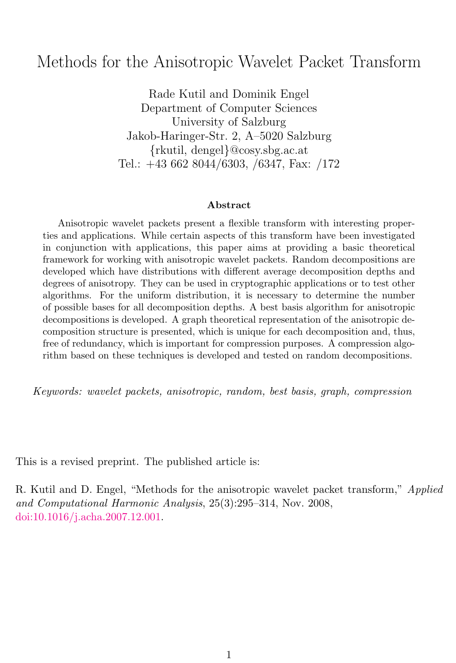## Methods for the Anisotropic Wavelet Packet Transform

Rade Kutil and Dominik Engel Department of Computer Sciences University of Salzburg Jakob-Haringer-Str. 2, A–5020 Salzburg {rkutil, dengel}@cosy.sbg.ac.at Tel.: +43 662 8044/6303, /6347, Fax: /172

#### Abstract

Anisotropic wavelet packets present a flexible transform with interesting properties and applications. While certain aspects of this transform have been investigated in conjunction with applications, this paper aims at providing a basic theoretical framework for working with anisotropic wavelet packets. Random decompositions are developed which have distributions with different average decomposition depths and degrees of anisotropy. They can be used in cryptographic applications or to test other algorithms. For the uniform distribution, it is necessary to determine the number of possible bases for all decomposition depths. A best basis algorithm for anisotropic decompositions is developed. A graph theoretical representation of the anisotropic decomposition structure is presented, which is unique for each decomposition and, thus, free of redundancy, which is important for compression purposes. A compression algorithm based on these techniques is developed and tested on random decompositions.

Keywords: wavelet packets, anisotropic, random, best basis, graph, compression

This is a revised preprint. The published article is:

R. Kutil and D. Engel, "Methods for the anisotropic wavelet packet transform," Applied and Computational Harmonic Analysis, 25(3):295–314, Nov. 2008, [doi:10.1016/j.acha.2007.12.001.](http://dx.doi.org/10.1016/j.acha.2007.12.001)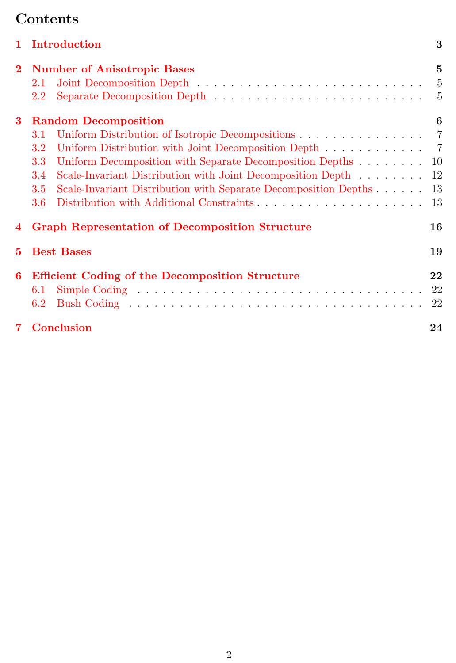# Contents

|             | 1 Introduction                                                                                                                                                                                                        |                |  |  |  |  |
|-------------|-----------------------------------------------------------------------------------------------------------------------------------------------------------------------------------------------------------------------|----------------|--|--|--|--|
| $\bf{2}$    | <b>Number of Anisotropic Bases</b><br>2.1<br>2.2                                                                                                                                                                      |                |  |  |  |  |
| 3           | <b>Random Decomposition</b><br>Uniform Distribution of Isotropic Decompositions 7<br>3.1<br>Uniform Distribution with Joint Decomposition Depth 7<br>3.2                                                              | 6              |  |  |  |  |
|             | Uniform Decomposition with Separate Decomposition Depths 10<br>3.3<br>Scale-Invariant Distribution with Joint Decomposition Depth 12<br>3.4<br>Scale-Invariant Distribution with Separate Decomposition Depths<br>3.5 | -13            |  |  |  |  |
|             | 3.6<br><b>Graph Representation of Decomposition Structure</b>                                                                                                                                                         | 16             |  |  |  |  |
| 5.          | <b>Best Bases</b>                                                                                                                                                                                                     |                |  |  |  |  |
| 6           | <b>Efficient Coding of the Decomposition Structure</b><br>6.1<br>6.2                                                                                                                                                  | 22<br>22<br>22 |  |  |  |  |
| $7^{\circ}$ | Conclusion                                                                                                                                                                                                            | 24             |  |  |  |  |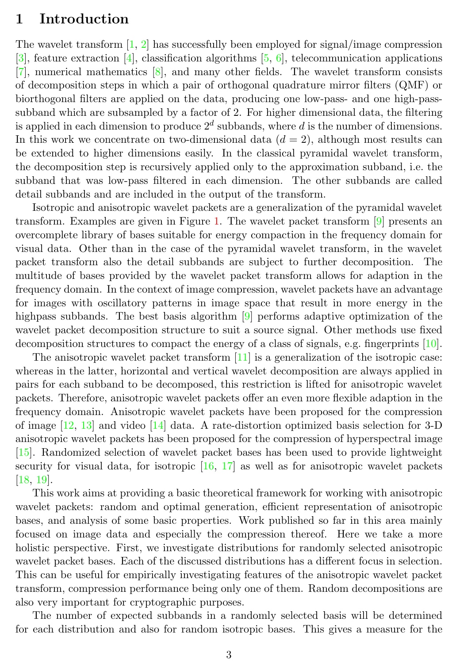### <span id="page-2-0"></span>1 Introduction

The wavelet transform  $\left[1, 2\right]$  $\left[1, 2\right]$  $\left[1, 2\right]$  has successfully been employed for signal/image compression  $[3]$ , feature extraction  $[4]$ , classification algorithms  $[5, 6]$  $[5, 6]$  $[5, 6]$ , telecommunication applications [\[7\]](#page-26-1), numerical mathematics [\[8\]](#page-26-2), and many other fields. The wavelet transform consists of decomposition steps in which a pair of orthogonal quadrature mirror filters (QMF) or biorthogonal filters are applied on the data, producing one low-pass- and one high-passsubband which are subsampled by a factor of 2. For higher dimensional data, the filtering is applied in each dimension to produce  $2^d$  subbands, where d is the number of dimensions. In this work we concentrate on two-dimensional data  $(d = 2)$ , although most results can be extended to higher dimensions easily. In the classical pyramidal wavelet transform, the decomposition step is recursively applied only to the approximation subband, i.e. the subband that was low-pass filtered in each dimension. The other subbands are called detail subbands and are included in the output of the transform.

Isotropic and anisotropic wavelet packets are a generalization of the pyramidal wavelet transform. Examples are given in Figure [1.](#page-3-0) The wavelet packet transform [\[9\]](#page-26-3) presents an overcomplete library of bases suitable for energy compaction in the frequency domain for visual data. Other than in the case of the pyramidal wavelet transform, in the wavelet packet transform also the detail subbands are subject to further decomposition. The multitude of bases provided by the wavelet packet transform allows for adaption in the frequency domain. In the context of image compression, wavelet packets have an advantage for images with oscillatory patterns in image space that result in more energy in the highpass subbands. The best basis algorithm [\[9\]](#page-26-3) performs adaptive optimization of the wavelet packet decomposition structure to suit a source signal. Other methods use fixed decomposition structures to compact the energy of a class of signals, e.g. fingerprints [\[10\]](#page-26-4).

The anisotropic wavelet packet transform  $[11]$  is a generalization of the isotropic case: whereas in the latter, horizontal and vertical wavelet decomposition are always applied in pairs for each subband to be decomposed, this restriction is lifted for anisotropic wavelet packets. Therefore, anisotropic wavelet packets offer an even more flexible adaption in the frequency domain. Anisotropic wavelet packets have been proposed for the compression of image [\[12,](#page-26-6) [13\]](#page-26-7) and video [\[14\]](#page-26-8) data. A rate-distortion optimized basis selection for 3-D anisotropic wavelet packets has been proposed for the compression of hyperspectral image [\[15\]](#page-26-9). Randomized selection of wavelet packet bases has been used to provide lightweight security for visual data, for isotropic  $[16, 17]$  $[16, 17]$  $[16, 17]$  as well as for anisotropic wavelet packets [\[18,](#page-26-12) [19\]](#page-27-0).

This work aims at providing a basic theoretical framework for working with anisotropic wavelet packets: random and optimal generation, efficient representation of anisotropic bases, and analysis of some basic properties. Work published so far in this area mainly focused on image data and especially the compression thereof. Here we take a more holistic perspective. First, we investigate distributions for randomly selected anisotropic wavelet packet bases. Each of the discussed distributions has a different focus in selection. This can be useful for empirically investigating features of the anisotropic wavelet packet transform, compression performance being only one of them. Random decompositions are also very important for cryptographic purposes.

The number of expected subbands in a randomly selected basis will be determined for each distribution and also for random isotropic bases. This gives a measure for the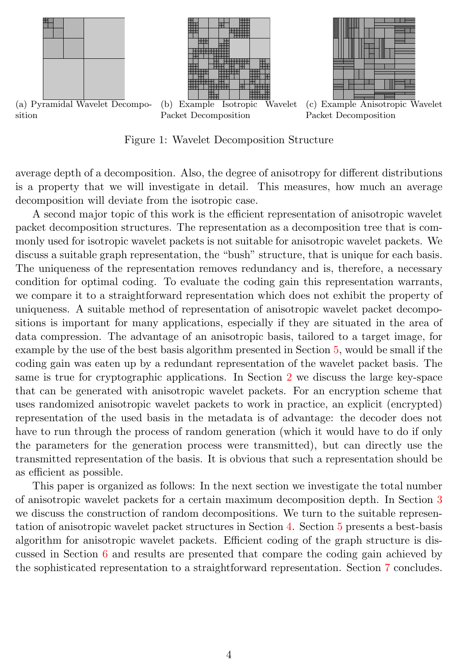

<span id="page-3-0"></span>Figure 1: Wavelet Decomposition Structure

average depth of a decomposition. Also, the degree of anisotropy for different distributions is a property that we will investigate in detail. This measures, how much an average decomposition will deviate from the isotropic case.

A second major topic of this work is the efficient representation of anisotropic wavelet packet decomposition structures. The representation as a decomposition tree that is commonly used for isotropic wavelet packets is not suitable for anisotropic wavelet packets. We discuss a suitable graph representation, the "bush" structure, that is unique for each basis. The uniqueness of the representation removes redundancy and is, therefore, a necessary condition for optimal coding. To evaluate the coding gain this representation warrants, we compare it to a straightforward representation which does not exhibit the property of uniqueness. A suitable method of representation of anisotropic wavelet packet decompositions is important for many applications, especially if they are situated in the area of data compression. The advantage of an anisotropic basis, tailored to a target image, for example by the use of the best basis algorithm presented in Section [5,](#page-18-0) would be small if the coding gain was eaten up by a redundant representation of the wavelet packet basis. The same is true for cryptographic applications. In Section [2](#page-4-0) we discuss the large key-space that can be generated with anisotropic wavelet packets. For an encryption scheme that uses randomized anisotropic wavelet packets to work in practice, an explicit (encrypted) representation of the used basis in the metadata is of advantage: the decoder does not have to run through the process of random generation (which it would have to do if only the parameters for the generation process were transmitted), but can directly use the transmitted representation of the basis. It is obvious that such a representation should be as efficient as possible.

This paper is organized as follows: In the next section we investigate the total number of anisotropic wavelet packets for a certain maximum decomposition depth. In Section [3](#page-5-0) we discuss the construction of random decompositions. We turn to the suitable representation of anisotropic wavelet packet structures in Section [4.](#page-15-0) Section [5](#page-18-0) presents a best-basis algorithm for anisotropic wavelet packets. Efficient coding of the graph structure is discussed in Section [6](#page-21-0) and results are presented that compare the coding gain achieved by the sophisticated representation to a straightforward representation. Section [7](#page-23-0) concludes.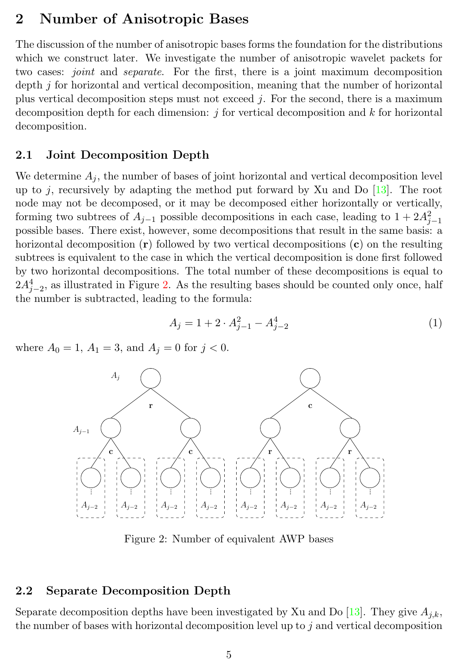### <span id="page-4-0"></span>2 Number of Anisotropic Bases

The discussion of the number of anisotropic bases forms the foundation for the distributions which we construct later. We investigate the number of anisotropic wavelet packets for two cases: joint and separate. For the first, there is a joint maximum decomposition depth  $j$  for horizontal and vertical decomposition, meaning that the number of horizontal plus vertical decomposition steps must not exceed  $j$ . For the second, there is a maximum decomposition depth for each dimension:  $j$  for vertical decomposition and  $k$  for horizontal decomposition.

### <span id="page-4-1"></span>2.1 Joint Decomposition Depth

We determine  $A_j$ , the number of bases of joint horizontal and vertical decomposition level up to j, recursively by adapting the method put forward by Xu and Do  $[13]$ . The root node may not be decomposed, or it may be decomposed either horizontally or vertically, forming two subtrees of  $A_{j-1}$  possible decompositions in each case, leading to  $1 + 2A_{j-1}^2$ possible bases. There exist, however, some decompositions that result in the same basis: a horizontal decomposition  $(r)$  followed by two vertical decompositions  $(c)$  on the resulting subtrees is equivalent to the case in which the vertical decomposition is done first followed by two horizontal decompositions. The total number of these decompositions is equal to  $2A_{j-2}^4$ , as illustrated in Figure [2.](#page-4-3) As the resulting bases should be counted only once, half the number is subtracted, leading to the formula:

<span id="page-4-4"></span>
$$
A_j = 1 + 2 \cdot A_{j-1}^2 - A_{j-2}^4 \tag{1}
$$

where  $A_0 = 1, A_1 = 3$ , and  $A_i = 0$  for  $j < 0$ .



<span id="page-4-3"></span>Figure 2: Number of equivalent AWP bases

### <span id="page-4-2"></span>2.2 Separate Decomposition Depth

Separate decomposition depths have been investigated by Xu and Do [\[13\]](#page-26-7). They give  $A_{j,k}$ , the number of bases with horizontal decomposition level up to  $j$  and vertical decomposition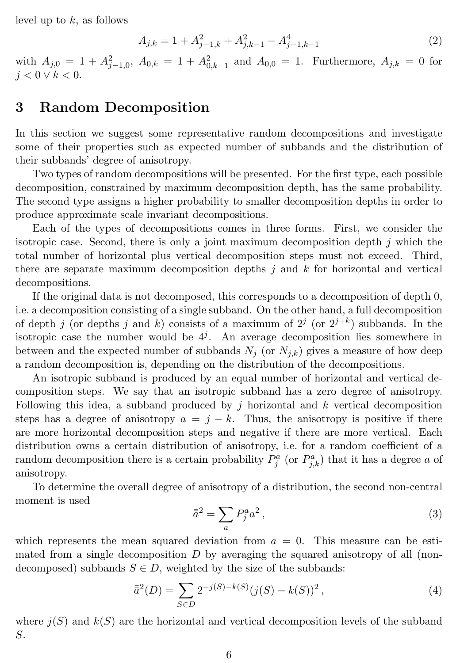level up to  $k$ , as follows

$$
A_{j,k} = 1 + A_{j-1,k}^2 + A_{j,k-1}^2 - A_{j-1,k-1}^4
$$
\n<sup>(2)</sup>

with  $A_{j,0} = 1 + A_{j-1,0}^2$ ,  $A_{0,k} = 1 + A_{0,k-1}^2$  and  $A_{0,0} = 1$ . Furthermore,  $A_{j,k} = 0$  for  $j < 0 \vee k < 0$ .

### <span id="page-5-0"></span>3 Random Decomposition

In this section we suggest some representative random decompositions and investigate some of their properties such as expected number of subbands and the distribution of their subbands' degree of anisotropy.

Two types of random decompositions will be presented. For the first type, each possible decomposition, constrained by maximum decomposition depth, has the same probability. The second type assigns a higher probability to smaller decomposition depths in order to produce approximate scale invariant decompositions.

Each of the types of decompositions comes in three forms. First, we consider the isotropic case. Second, there is only a joint maximum decomposition depth j which the total number of horizontal plus vertical decomposition steps must not exceed. Third, there are separate maximum decomposition depths  $j$  and  $k$  for horizontal and vertical decompositions.

If the original data is not decomposed, this corresponds to a decomposition of depth 0, i.e. a decomposition consisting of a single subband. On the other hand, a full decomposition of depth j (or depths j and k) consists of a maximum of  $2^j$  (or  $2^{j+k}$ ) subbands. In the isotropic case the number would be  $4<sup>j</sup>$ . An average decomposition lies somewhere in between and the expected number of subbands  $N_j$  (or  $N_{j,k}$ ) gives a measure of how deep a random decomposition is, depending on the distribution of the decompositions.

An isotropic subband is produced by an equal number of horizontal and vertical decomposition steps. We say that an isotropic subband has a zero degree of anisotropy. Following this idea, a subband produced by  $j$  horizontal and  $k$  vertical decomposition steps has a degree of anisotropy  $a = j - k$ . Thus, the anisotropy is positive if there are more horizontal decomposition steps and negative if there are more vertical. Each distribution owns a certain distribution of anisotropy, i.e. for a random coefficient of a random decomposition there is a certain probability  $P_j^a$  (or  $P_{j,k}^a$ ) that it has a degree a of anisotropy.

To determine the overall degree of anisotropy of a distribution, the second non-central moment is used

$$
\bar{\bar{a}}^2 = \sum_a P^a_j a^2 \,,\tag{3}
$$

which represents the mean squared deviation from  $a = 0$ . This measure can be estimated from a single decomposition  $D$  by averaging the squared anisotropy of all (nondecomposed) subbands  $S \in D$ , weighted by the size of the subbands:

$$
\bar{\bar{a}}^2(D) = \sum_{S \in D} 2^{-j(S) - k(S)} (j(S) - k(S))^2, \tag{4}
$$

where  $j(S)$  and  $k(S)$  are the horizontal and vertical decomposition levels of the subband S.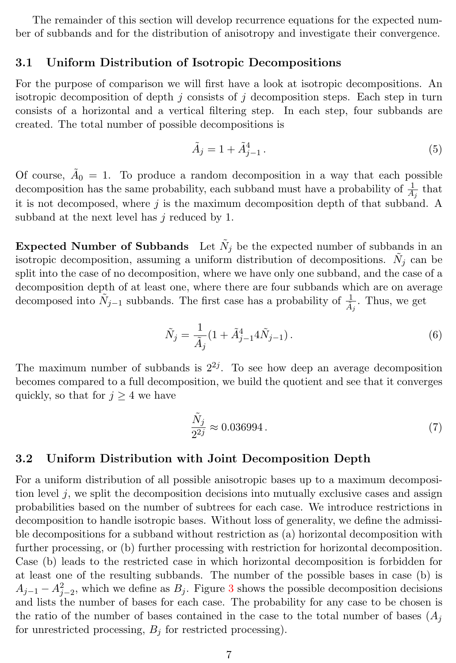The remainder of this section will develop recurrence equations for the expected number of subbands and for the distribution of anisotropy and investigate their convergence.

#### <span id="page-6-0"></span>3.1 Uniform Distribution of Isotropic Decompositions

For the purpose of comparison we will first have a look at isotropic decompositions. An isotropic decomposition of depth j consists of j decomposition steps. Each step in turn consists of a horizontal and a vertical filtering step. In each step, four subbands are created. The total number of possible decompositions is

$$
\tilde{A}_j = 1 + \tilde{A}_{j-1}^4. \tag{5}
$$

Of course,  $\tilde{A}_0 = 1$ . To produce a random decomposition in a way that each possible decomposition has the same probability, each subband must have a probability of  $\frac{1}{A_j}$  that it is not decomposed, where  $j$  is the maximum decomposition depth of that subband. A subband at the next level has j reduced by 1.

**Expected Number of Subbands** Let  $\tilde{N}_j$  be the expected number of subbands in an isotropic decomposition, assuming a uniform distribution of decompositions.  $\tilde{N}_j$  can be split into the case of no decomposition, where we have only one subband, and the case of a decomposition depth of at least one, where there are four subbands which are on average decomposed into  $\tilde{N}_{j-1}$  subbands. The first case has a probability of  $\frac{1}{\tilde{A}_j}$ . Thus, we get

$$
\tilde{N}_j = \frac{1}{\tilde{A}_j} (1 + \tilde{A}_{j-1}^4 \tilde{N}_{j-1}).
$$
\n(6)

The maximum number of subbands is  $2^{2j}$ . To see how deep an average decomposition becomes compared to a full decomposition, we build the quotient and see that it converges quickly, so that for  $j \geq 4$  we have

$$
\frac{\tilde{N}_j}{2^{2j}} \approx 0.036994\,. \tag{7}
$$

### <span id="page-6-1"></span>3.2 Uniform Distribution with Joint Decomposition Depth

For a uniform distribution of all possible anisotropic bases up to a maximum decomposition level  $j$ , we split the decomposition decisions into mutually exclusive cases and assign probabilities based on the number of subtrees for each case. We introduce restrictions in decomposition to handle isotropic bases. Without loss of generality, we define the admissible decompositions for a subband without restriction as (a) horizontal decomposition with further processing, or (b) further processing with restriction for horizontal decomposition. Case (b) leads to the restricted case in which horizontal decomposition is forbidden for at least one of the resulting subbands. The number of the possible bases in case (b) is  $A_{j-1} - A_{j-2}^2$ , which we define as  $B_j$ . Figure [3](#page-7-0) shows the possible decomposition decisions and lists the number of bases for each case. The probability for any case to be chosen is the ratio of the number of bases contained in the case to the total number of bases  $(A_i)$ for unrestricted processing,  $B_j$  for restricted processing).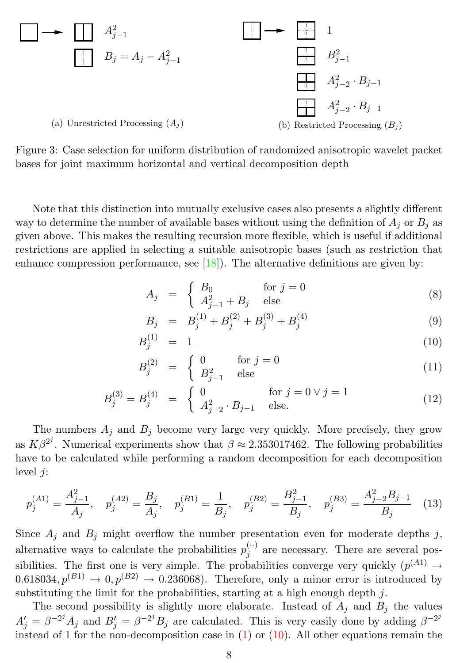

<span id="page-7-0"></span>Figure 3: Case selection for uniform distribution of randomized anisotropic wavelet packet bases for joint maximum horizontal and vertical decomposition depth

Note that this distinction into mutually exclusive cases also presents a slightly different way to determine the number of available bases without using the definition of  $A_i$  or  $B_i$  as given above. This makes the resulting recursion more flexible, which is useful if additional restrictions are applied in selecting a suitable anisotropic bases (such as restriction that enhance compression performance, see  $[18]$ . The alternative definitions are given by:

$$
A_j = \begin{cases} B_0 & \text{for } j = 0\\ A_{j-1}^2 + B_j & \text{else} \end{cases} \tag{8}
$$

<span id="page-7-1"></span>
$$
B_j = B_j^{(1)} + B_j^{(2)} + B_j^{(3)} + B_j^{(4)}
$$
\n(9)

$$
B_j^{(1)} = 1 \t\t(10)
$$

$$
B_j^{(2)} = \begin{cases} 0 & \text{for } j = 0\\ B_{j-1}^2 & \text{else} \end{cases}
$$
 (11)

$$
B_j^{(3)} = B_j^{(4)} = \begin{cases} 0 & \text{for } j = 0 \vee j = 1\\ A_{j-2}^2 \cdot B_{j-1} & \text{else.} \end{cases}
$$
(12)

The numbers  $A_j$  and  $B_j$  become very large very quickly. More precisely, they grow as  $K\beta^{2^j}$ . Numerical experiments show that  $\beta \approx 2.353017462$ . The following probabilities have to be calculated while performing a random decomposition for each decomposition level  $j$ :

$$
p_j^{(A1)} = \frac{A_{j-1}^2}{A_j}, \quad p_j^{(A2)} = \frac{B_j}{A_j}, \quad p_j^{(B1)} = \frac{1}{B_j}, \quad p_j^{(B2)} = \frac{B_{j-1}^2}{B_j}, \quad p_j^{(B3)} = \frac{A_{j-2}^2 B_{j-1}}{B_j} \tag{13}
$$

Since  $A_j$  and  $B_j$  might overflow the number presentation even for moderate depths j, alternative ways to calculate the probabilities  $p_i^{(\cdot)}$  $j_j^{(n)}$  are necessary. There are several possibilities. The first one is very simple. The probabilities converge very quickly  $(p^{(A1)} \rightarrow$ 0.618034,  $p^{(B1)} \rightarrow 0, p^{(B2)} \rightarrow 0.236068$ . Therefore, only a minor error is introduced by substituting the limit for the probabilities, starting at a high enough depth  $j$ .

The second possibility is slightly more elaborate. Instead of  $A_j$  and  $B_j$  the values  $A'_j = \beta^{-2^j} A_j$  and  $B'_j = \beta^{-2^j} B_j$  are calculated. This is very easily done by adding  $\beta^{-2^j}$ instead of 1 for the non-decomposition case in  $(1)$  or  $(10)$ . All other equations remain the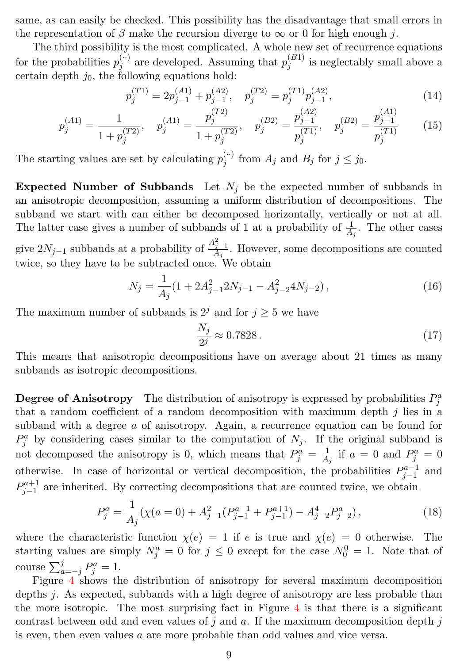same, as can easily be checked. This possibility has the disadvantage that small errors in the representation of  $\beta$  make the recursion diverge to  $\infty$  or 0 for high enough j.

The third possibility is the most complicated. A whole new set of recurrence equations for the probabilities  $p_i^{(\cdot)}$  $j^{(+)}$  are developed. Assuming that  $p_j^{(B1)}$  $j_j^{(D_1)}$  is neglectably small above a certain depth  $j_0$ , the following equations hold:

$$
p_j^{(T1)} = 2p_{j-1}^{(A1)} + p_{j-1}^{(A2)}, \quad p_j^{(T2)} = p_j^{(T1)} p_{j-1}^{(A2)}, \tag{14}
$$

$$
p_j^{(A1)} = \frac{1}{1 + p_j^{(T2)}}, \quad p_j^{(A1)} = \frac{p_j^{(T2)}}{1 + p_j^{(T2)}}, \quad p_j^{(B2)} = \frac{p_{j-1}^{(A2)}}{p_j^{(T1)}}, \quad p_j^{(B2)} = \frac{p_{j-1}^{(A1)}}{p_j^{(T1)}}\tag{15}
$$

The starting values are set by calculating  $p_i^{(\cdot)}$  $j_j^{(n)}$  from  $A_j$  and  $B_j$  for  $j \leq j_0$ .

**Expected Number of Subbands** Let  $N_i$  be the expected number of subbands in an anisotropic decomposition, assuming a uniform distribution of decompositions. The subband we start with can either be decomposed horizontally, vertically or not at all. The latter case gives a number of subbands of 1 at a probability of  $\frac{1}{A_j}$ . The other cases give  $2N_{j-1}$  subbands at a probability of  $\frac{A_{j-1}^2}{A_j}$ . However, some decompositions are counted twice, so they have to be subtracted once. We obtain

$$
N_j = \frac{1}{A_j} (1 + 2A_{j-1}^2 2N_{j-1} - A_{j-2}^2 4N_{j-2}),
$$
\n(16)

The maximum number of subbands is  $2^j$  and for  $j \geq 5$  we have

$$
\frac{N_j}{2^j} \approx 0.7828\,. \tag{17}
$$

This means that anisotropic decompositions have on average about 21 times as many subbands as isotropic decompositions.

**Degree of Anisotropy** The distribution of anisotropy is expressed by probabilities  $P_j^a$ that a random coefficient of a random decomposition with maximum depth  $j$  lies in a subband with a degree a of anisotropy. Again, a recurrence equation can be found for  $P_j^a$  by considering cases similar to the computation of  $N_j$ . If the original subband is not decomposed the anisotropy is 0, which means that  $P_j^a = \frac{1}{A}$  $\frac{1}{A_j}$  if  $a = 0$  and  $P_j^a = 0$ otherwise. In case of horizontal or vertical decomposition, the probabilities  $P_{j-1}^{a-1}$  and  $P_{j-1}^{a+1}$  are inherited. By correcting decompositions that are counted twice, we obtain

$$
P_j^a = \frac{1}{A_j} (\chi(a=0) + A_{j-1}^2 (P_{j-1}^{a-1} + P_{j-1}^{a+1}) - A_{j-2}^4 P_{j-2}^a), \qquad (18)
$$

where the characteristic function  $\chi(e) = 1$  if e is true and  $\chi(e) = 0$  otherwise. The starting values are simply  $N_j^a = 0$  for  $j \leq 0$  except for the case  $N_0^0 = 1$ . Note that of course  $\sum_{a=-j}^{j} P_j^a = 1$ .

Figure [4](#page-9-1) shows the distribution of anisotropy for several maximum decomposition depths j. As expected, subbands with a high degree of anisotropy are less probable than the more isotropic. The most surprising fact in Figure  $4$  is that there is a significant contrast between odd and even values of  $j$  and  $a$ . If the maximum decomposition depth  $j$ is even, then even values a are more probable than odd values and vice versa.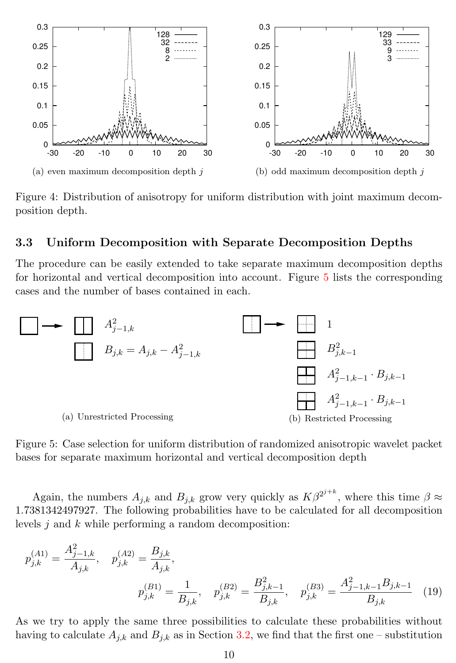

<span id="page-9-1"></span>Figure 4: Distribution of anisotropy for uniform distribution with joint maximum decomposition depth.

#### <span id="page-9-0"></span>3.3 Uniform Decomposition with Separate Decomposition Depths

The procedure can be easily extended to take separate maximum decomposition depths for horizontal and vertical decomposition into account. Figure [5](#page-9-2) lists the corresponding cases and the number of bases contained in each.



<span id="page-9-2"></span>Figure 5: Case selection for uniform distribution of randomized anisotropic wavelet packet bases for separate maximum horizontal and vertical decomposition depth

Again, the numbers  $A_{j,k}$  and  $B_{j,k}$  grow very quickly as  $K\beta^{2^{j+k}}$ , where this time  $\beta \approx$ 1.7381342497927. The following probabilities have to be calculated for all decomposition levels  $j$  and  $k$  while performing a random decomposition:

$$
p_{j,k}^{(A1)} = \frac{A_{j-1,k}^2}{A_{j,k}}, \quad p_{j,k}^{(A2)} = \frac{B_{j,k}}{A_{j,k}},
$$

$$
p_{j,k}^{(B1)} = \frac{1}{B_{j,k}}, \quad p_{j,k}^{(B2)} = \frac{B_{j,k-1}^2}{B_{j,k}}, \quad p_{j,k}^{(B3)} = \frac{A_{j-1,k-1}^2 B_{j,k-1}}{B_{j,k}} \quad (19)
$$

As we try to apply the same three possibilities to calculate these probabilities without having to calculate  $A_{j,k}$  and  $B_{j,k}$  as in Section [3.2,](#page-6-1) we find that the first one – substitution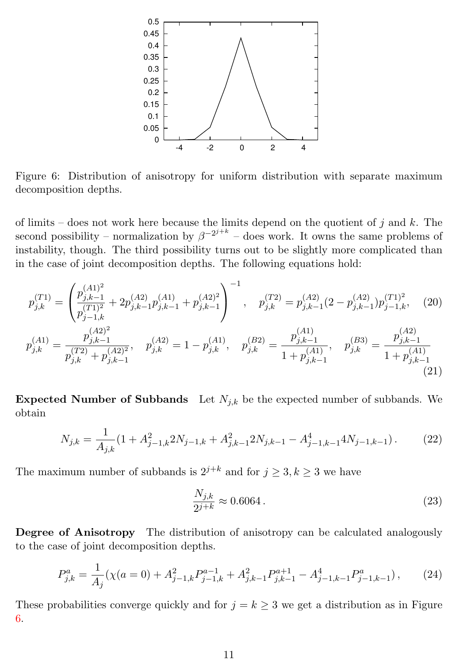

<span id="page-10-0"></span>Figure 6: Distribution of anisotropy for uniform distribution with separate maximum decomposition depths.

of limits – does not work here because the limits depend on the quotient of  $j$  and  $k$ . The second possibility – normalization by  $\beta^{-2^{j+k}}$  – does work. It owns the same problems of instability, though. The third possibility turns out to be slightly more complicated than in the case of joint decomposition depths. The following equations hold:

$$
p_{j,k}^{(T1)} = \begin{pmatrix} p_{j,k-1}^{(A1)^2} & p_{j,k-1}^{(A2)} & p_{j,k-1}^{(A1)} + p_{j,k-1}^{(A2)^2} \\ p_{j-1,k}^{(T1)^2} & p_{j,k-1}^{(A2)^2} & p_{j,k-1}^{(A2)^2} \end{pmatrix}^{-1}, \quad p_{j,k}^{(T2)} = p_{j,k-1}^{(A2)}(2 - p_{j,k-1}^{(A2)})p_{j-1,k}^{(T1)^2}, \quad (20)
$$
\n
$$
p_{j,k}^{(A1)} = \frac{p_{j,k-1}^{(A2)^2}}{p_{j,k}^{(T2)} + p_{j,k-1}^{(A2)^2}}, \quad p_{j,k}^{(A2)} = 1 - p_{j,k}^{(A1)}, \quad p_{j,k}^{(B2)} = \frac{p_{j,k-1}^{(A1)}}{1 + p_{j,k-1}^{(A1)}}, \quad p_{j,k}^{(B3)} = \frac{p_{j,k-1}^{(A2)}}{1 + p_{j,k-1}^{(A1)}}
$$

**Expected Number of Subbands** Let  $N_{i,k}$  be the expected number of subbands. We obtain

$$
N_{j,k} = \frac{1}{A_{j,k}} \left( 1 + A_{j-1,k}^2 2N_{j-1,k} + A_{j,k-1}^2 2N_{j,k-1} - A_{j-1,k-1}^4 4N_{j-1,k-1} \right). \tag{22}
$$

The maximum number of subbands is  $2^{j+k}$  and for  $j \geq 3, k \geq 3$  we have

$$
\frac{N_{j,k}}{2^{j+k}} \approx 0.6064\,. \tag{23}
$$

(21)

Degree of Anisotropy The distribution of anisotropy can be calculated analogously to the case of joint decomposition depths.

$$
P_{j,k}^a = \frac{1}{A_j} (\chi(a=0) + A_{j-1,k}^2 P_{j-1,k}^{a-1} + A_{j,k-1}^2 P_{j,k-1}^{a+1} - A_{j-1,k-1}^4 P_{j-1,k-1}^a), \tag{24}
$$

These probabilities converge quickly and for  $j = k \geq 3$  we get a distribution as in Figure [6.](#page-10-0)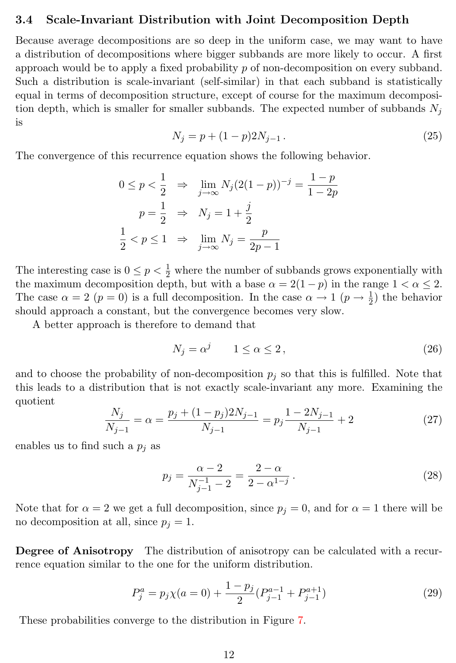#### <span id="page-11-0"></span>3.4 Scale-Invariant Distribution with Joint Decomposition Depth

Because average decompositions are so deep in the uniform case, we may want to have a distribution of decompositions where bigger subbands are more likely to occur. A first approach would be to apply a fixed probability  $p$  of non-decomposition on every subband. Such a distribution is scale-invariant (self-similar) in that each subband is statistically equal in terms of decomposition structure, except of course for the maximum decomposition depth, which is smaller for smaller subbands. The expected number of subbands  $N_i$ is

$$
N_j = p + (1 - p)2N_{j-1}.
$$
\n(25)

The convergence of this recurrence equation shows the following behavior.

$$
0 \le p < \frac{1}{2} \Rightarrow \lim_{j \to \infty} N_j (2(1-p))^{-j} = \frac{1-p}{1-2p}
$$
\n
$$
p = \frac{1}{2} \Rightarrow N_j = 1 + \frac{j}{2}
$$
\n
$$
\frac{1}{2} < p \le 1 \Rightarrow \lim_{j \to \infty} N_j = \frac{p}{2p-1}
$$

The interesting case is  $0 \le p < \frac{1}{2}$  where the number of subbands grows exponentially with the maximum decomposition depth, but with a base  $\alpha = 2(1 - p)$  in the range  $1 < \alpha \leq 2$ . The case  $\alpha = 2$   $(p = 0)$  is a full decomposition. In the case  $\alpha \to 1$   $(p \to \frac{1}{2})$  the behavior should approach a constant, but the convergence becomes very slow.

A better approach is therefore to demand that

$$
N_j = \alpha^j \qquad 1 \le \alpha \le 2 \,, \tag{26}
$$

and to choose the probability of non-decomposition  $p_j$  so that this is fulfilled. Note that this leads to a distribution that is not exactly scale-invariant any more. Examining the quotient

$$
\frac{N_j}{N_{j-1}} = \alpha = \frac{p_j + (1 - p_j)2N_{j-1}}{N_{j-1}} = p_j \frac{1 - 2N_{j-1}}{N_{j-1}} + 2
$$
\n(27)

enables us to find such a  $p_i$  as

$$
p_j = \frac{\alpha - 2}{N_{j-1}^{-1} - 2} = \frac{2 - \alpha}{2 - \alpha^{1 - j}}.
$$
\n(28)

Note that for  $\alpha = 2$  we get a full decomposition, since  $p_i = 0$ , and for  $\alpha = 1$  there will be no decomposition at all, since  $p_i = 1$ .

Degree of Anisotropy The distribution of anisotropy can be calculated with a recurrence equation similar to the one for the uniform distribution.

$$
P_j^a = p_j \chi(a=0) + \frac{1 - p_j}{2} (P_{j-1}^{a-1} + P_{j-1}^{a+1})
$$
\n(29)

These probabilities converge to the distribution in Figure [7.](#page-12-2)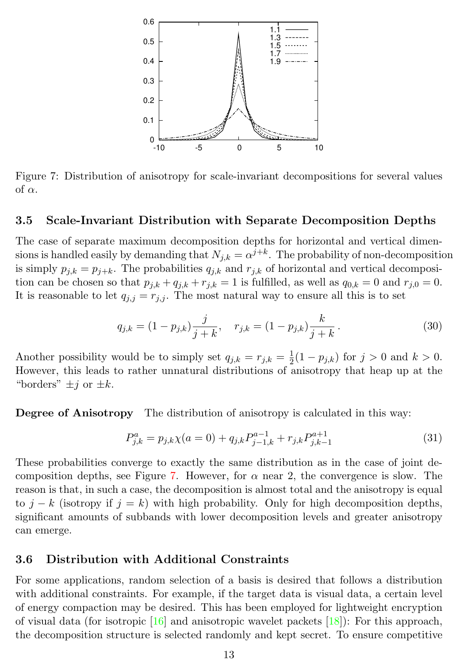

<span id="page-12-2"></span>Figure 7: Distribution of anisotropy for scale-invariant decompositions for several values of  $\alpha$ .

#### <span id="page-12-0"></span>3.5 Scale-Invariant Distribution with Separate Decomposition Depths

The case of separate maximum decomposition depths for horizontal and vertical dimensions is handled easily by demanding that  $N_{j,k} = \alpha^{j+k}$ . The probability of non-decomposition is simply  $p_{j,k} = p_{j+k}$ . The probabilities  $q_{j,k}$  and  $r_{j,k}$  of horizontal and vertical decomposition can be chosen so that  $p_{j,k} + q_{j,k} + r_{j,k} = 1$  is fulfilled, as well as  $q_{0,k} = 0$  and  $r_{j,0} = 0$ . It is reasonable to let  $q_{i,j} = r_{j,j}$ . The most natural way to ensure all this is to set

$$
q_{j,k} = (1 - p_{j,k}) \frac{j}{j+k}, \quad r_{j,k} = (1 - p_{j,k}) \frac{k}{j+k}.
$$
 (30)

Another possibility would be to simply set  $q_{j,k} = r_{j,k} = \frac{1}{2}$  $\frac{1}{2}(1-p_{j,k})$  for  $j > 0$  and  $k > 0$ . However, this leads to rather unnatural distributions of anisotropy that heap up at the "borders"  $\pm j$  or  $\pm k$ .

Degree of Anisotropy The distribution of anisotropy is calculated in this way:

$$
P_{j,k}^a = p_{j,k} \chi(a=0) + q_{j,k} P_{j-1,k}^{a-1} + r_{j,k} P_{j,k-1}^{a+1}
$$
\n(31)

These probabilities converge to exactly the same distribution as in the case of joint de-composition depths, see Figure [7.](#page-12-2) However, for  $\alpha$  near 2, the convergence is slow. The reason is that, in such a case, the decomposition is almost total and the anisotropy is equal to  $j - k$  (isotropy if  $j = k$ ) with high probability. Only for high decomposition depths, significant amounts of subbands with lower decomposition levels and greater anisotropy can emerge.

#### <span id="page-12-1"></span>3.6 Distribution with Additional Constraints

For some applications, random selection of a basis is desired that follows a distribution with additional constraints. For example, if the target data is visual data, a certain level of energy compaction may be desired. This has been employed for lightweight encryption of visual data (for isotropic [\[16\]](#page-26-10) and anisotropic wavelet packets [\[18\]](#page-26-12)): For this approach, the decomposition structure is selected randomly and kept secret. To ensure competitive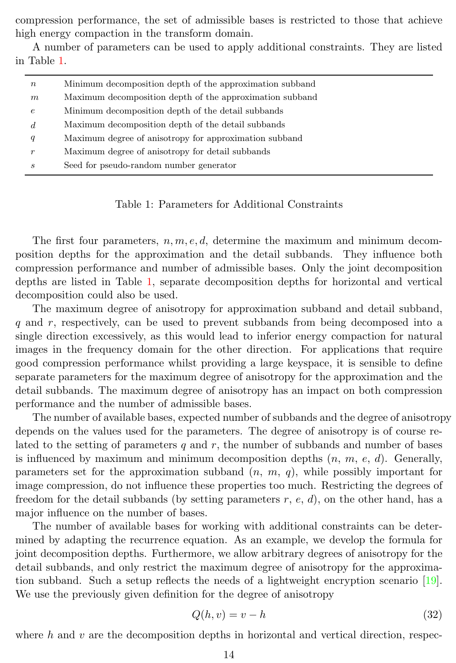compression performance, the set of admissible bases is restricted to those that achieve high energy compaction in the transform domain.

A number of parameters can be used to apply additional constraints. They are listed in Table [1.](#page-13-0)

| $\,n$             | Minimum decomposition depth of the approximation subband |
|-------------------|----------------------------------------------------------|
| m                 | Maximum decomposition depth of the approximation subband |
| $\epsilon$        | Minimum decomposition depth of the detail subbands       |
| $\overline{d}$    | Maximum decomposition depth of the detail subbands       |
| q                 | Maximum degree of anisotropy for approximation subband   |
|                   | Maximum degree of anisotropy for detail subbands         |
| $\mathcal{S}_{0}$ | Seed for pseudo-random number generator                  |

#### <span id="page-13-0"></span>Table 1: Parameters for Additional Constraints

The first four parameters,  $n, m, e, d$ , determine the maximum and minimum decomposition depths for the approximation and the detail subbands. They influence both compression performance and number of admissible bases. Only the joint decomposition depths are listed in Table [1,](#page-13-0) separate decomposition depths for horizontal and vertical decomposition could also be used.

The maximum degree of anisotropy for approximation subband and detail subband,  $q$  and  $r$ , respectively, can be used to prevent subbands from being decomposed into a single direction excessively, as this would lead to inferior energy compaction for natural images in the frequency domain for the other direction. For applications that require good compression performance whilst providing a large keyspace, it is sensible to define separate parameters for the maximum degree of anisotropy for the approximation and the detail subbands. The maximum degree of anisotropy has an impact on both compression performance and the number of admissible bases.

The number of available bases, expected number of subbands and the degree of anisotropy depends on the values used for the parameters. The degree of anisotropy is of course related to the setting of parameters  $q$  and  $r$ , the number of subbands and number of bases is influenced by maximum and minimum decomposition depths  $(n, m, e, d)$ . Generally, parameters set for the approximation subband  $(n, m, q)$ , while possibly important for image compression, do not influence these properties too much. Restricting the degrees of freedom for the detail subbands (by setting parameters  $r, e, d$ ), on the other hand, has a major influence on the number of bases.

The number of available bases for working with additional constraints can be determined by adapting the recurrence equation. As an example, we develop the formula for joint decomposition depths. Furthermore, we allow arbitrary degrees of anisotropy for the detail subbands, and only restrict the maximum degree of anisotropy for the approximation subband. Such a setup reflects the needs of a lightweight encryption scenario [\[19\]](#page-27-0). We use the previously given definition for the degree of anisotropy

$$
Q(h, v) = v - h \tag{32}
$$

where  $h$  and  $v$  are the decomposition depths in horizontal and vertical direction, respec-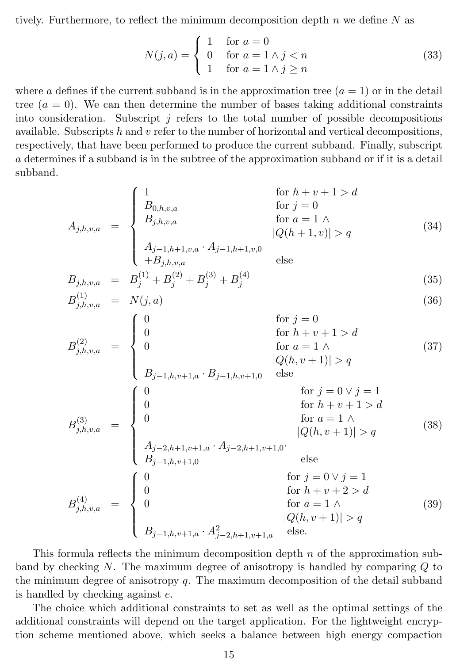tively. Furthermore, to reflect the minimum decomposition depth  $n$  we define  $N$  as

$$
N(j,a) = \begin{cases} 1 & \text{for } a = 0 \\ 0 & \text{for } a = 1 \land j < n \\ 1 & \text{for } a = 1 \land j \ge n \end{cases} \tag{33}
$$

where a defines if the current subband is in the approximation tree  $(a = 1)$  or in the detail tree  $(a = 0)$ . We can then determine the number of bases taking additional constraints into consideration. Subscript  $j$  refers to the total number of possible decompositions available. Subscripts  $h$  and  $v$  refer to the number of horizontal and vertical decompositions, respectively, that have been performed to produce the current subband. Finally, subscript a determines if a subband is in the subtree of the approximation subband or if it is a detail subband.

$$
A_{j,h,v,a} = \begin{cases} 1 & \text{for } h+v+1 > d \\ B_{0,h,v,a} & \text{for } j = 0 \\ B_{j,h,v,a} & \text{for } a = 1 \land \\ A_{j-1,h+1,v,a} \cdot A_{j-1,h+1,v,0} & \text{else} \end{cases}
$$
(34)

$$
+B_{j,h,v,a} \t\t\t else
$$

$$
B_{j,h,v,a} = B_j^{(1)} + B_j^{(2)} + B_j^{(3)} + B_j^{(4)}
$$
\n
$$
B_j^{(1)} = N(j,s)
$$
\n(35)

$$
B_{j,h,v,a}^{(1)} = N(j,a)
$$
  
\n
$$
\begin{cases}\n0 & \text{for } j = 0\n\end{cases}
$$
\n(36)

$$
B_{j,h,v,a}^{(2)} = \begin{cases} 0 & \text{for } h+v+1 > d \\ 0 & \text{for } a = 1 \land \\ Q(h,v+1)| > q \end{cases}
$$
 (37)

$$
B_{j-1,h,v+1,a} \cdot B_{j-1,h,v+1,0} \quad \text{else}
$$
  
\n
$$
B_{j,h,v,a}^{(3)} = \begin{cases} 0 & \text{for } j = 0 \vee j = 1 \\ 0 & \text{for } h+v+1 > d \\ 0 & \text{for } a = 1 \wedge \\ |Q(h,v+1)| > q \end{cases}
$$
 (38)

$$
B_{j,h,v,a}^{(4)} = \begin{cases} A_{j-2,h+1,v+1,a} \cdot A_{j-2,h+1,v+1,0} \\ B_{j-1,h,v+1,0} \end{cases} \text{ else } \begin{cases} 0 & \text{for } j = 0 \vee j = 1 \\ 0 & \text{for } h+v+2 > d \\ 0 & \text{for } a = 1 \wedge \\ B_{j-1,h,v+1,a} \cdot A_{j-2,h+1,v+1,a}^{2} & \text{else.} \end{cases} \tag{39}
$$

This formula reflects the minimum decomposition depth  $n$  of the approximation subband by checking  $N$ . The maximum degree of anisotropy is handled by comparing  $Q$  to the minimum degree of anisotropy  $q$ . The maximum decomposition of the detail subband is handled by checking against e.

The choice which additional constraints to set as well as the optimal settings of the additional constraints will depend on the target application. For the lightweight encryption scheme mentioned above, which seeks a balance between high energy compaction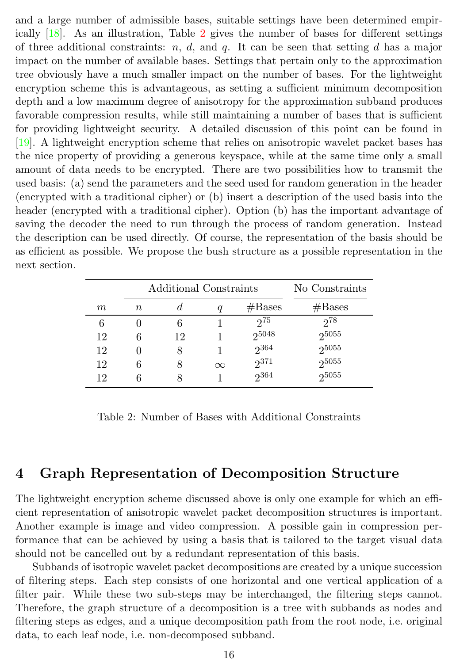and a large number of admissible bases, suitable settings have been determined empirically [\[18\]](#page-26-12). As an illustration, Table [2](#page-15-1) gives the number of bases for different settings of three additional constraints:  $n, d$ , and  $q$ . It can be seen that setting d has a major impact on the number of available bases. Settings that pertain only to the approximation tree obviously have a much smaller impact on the number of bases. For the lightweight encryption scheme this is advantageous, as setting a sufficient minimum decomposition depth and a low maximum degree of anisotropy for the approximation subband produces favorable compression results, while still maintaining a number of bases that is sufficient for providing lightweight security. A detailed discussion of this point can be found in [\[19\]](#page-27-0). A lightweight encryption scheme that relies on anisotropic wavelet packet bases has the nice property of providing a generous keyspace, while at the same time only a small amount of data needs to be encrypted. There are two possibilities how to transmit the used basis: (a) send the parameters and the seed used for random generation in the header (encrypted with a traditional cipher) or (b) insert a description of the used basis into the header (encrypted with a traditional cipher). Option (b) has the important advantage of saving the decoder the need to run through the process of random generation. Instead the description can be used directly. Of course, the representation of the basis should be as efficient as possible. We propose the bush structure as a possible representation in the next section.

|    |       | Additional Constraints | No Constraints |           |            |
|----|-------|------------------------|----------------|-----------|------------|
| m  | $n\,$ | d.                     |                | #Bases    | #Bases     |
| 6  |       |                        |                | $2^{75}$  | 278        |
| 12 | 6     | 12                     |                | 25048     | 25055      |
| 12 | 0     |                        |                | 2364      | $2^{5055}$ |
| 12 | 6     |                        | $\infty$       | $2^{371}$ | $2^{5055}$ |
| 12 | 6     |                        |                | 2364      | 25055      |

<span id="page-15-1"></span>Table 2: Number of Bases with Additional Constraints

## <span id="page-15-0"></span>4 Graph Representation of Decomposition Structure

The lightweight encryption scheme discussed above is only one example for which an efficient representation of anisotropic wavelet packet decomposition structures is important. Another example is image and video compression. A possible gain in compression performance that can be achieved by using a basis that is tailored to the target visual data should not be cancelled out by a redundant representation of this basis.

Subbands of isotropic wavelet packet decompositions are created by a unique succession of filtering steps. Each step consists of one horizontal and one vertical application of a filter pair. While these two sub-steps may be interchanged, the filtering steps cannot. Therefore, the graph structure of a decomposition is a tree with subbands as nodes and filtering steps as edges, and a unique decomposition path from the root node, i.e. original data, to each leaf node, i.e. non-decomposed subband.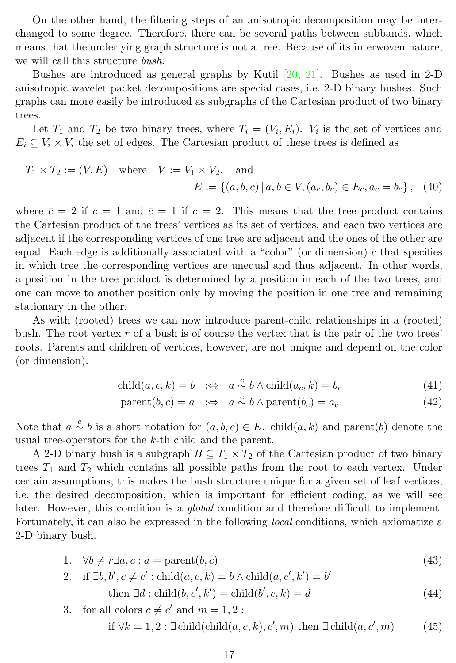On the other hand, the filtering steps of an anisotropic decomposition may be interchanged to some degree. Therefore, there can be several paths between subbands, which means that the underlying graph structure is not a tree. Because of its interwoven nature, we will call this structure bush.

Bushes are introduced as general graphs by Kutil [\[20,](#page-27-1) [21\]](#page-27-2). Bushes as used in 2-D anisotropic wavelet packet decompositions are special cases, i.e. 2-D binary bushes. Such graphs can more easily be introduced as subgraphs of the Cartesian product of two binary trees.

Let  $T_1$  and  $T_2$  be two binary trees, where  $T_i = (V_i, E_i)$ .  $V_i$  is the set of vertices and  $E_i \subseteq V_i \times V_i$  the set of edges. The Cartesian product of these trees is defined as

$$
T_1 \times T_2 := (V, E)
$$
 where  $V := V_1 \times V_2$ , and  
\n $E := \{(a, b, c) | a, b \in V, (a_c, b_c) \in E_c, a_{\bar{c}} = b_{\bar{c}}\}, (40)$ 

where  $\bar{c} = 2$  if  $c = 1$  and  $\bar{c} = 1$  if  $c = 2$ . This means that the tree product contains the Cartesian product of the trees' vertices as its set of vertices, and each two vertices are adjacent if the corresponding vertices of one tree are adjacent and the ones of the other are equal. Each edge is additionally associated with a "color" (or dimension)  $c$  that specifies in which tree the corresponding vertices are unequal and thus adjacent. In other words, a position in the tree product is determined by a position in each of the two trees, and one can move to another position only by moving the position in one tree and remaining stationary in the other.

As with (rooted) trees we can now introduce parent-child relationships in a (rooted) bush. The root vertex  $r$  of a bush is of course the vertex that is the pair of the two trees' roots. Parents and children of vertices, however, are not unique and depend on the color (or dimension).

$$
child(a, c, k) = b \quad \Leftrightarrow \quad a \stackrel{c}{\sim} b \wedge child(a_c, k) = b_c \tag{41}
$$

$$
parent(b, c) = a \quad \Leftrightarrow \quad a \stackrel{c}{\sim} b \land parent(b_c) = a_c \tag{42}
$$

Note that  $a \stackrel{c}{\sim} b$  is a short notation for  $(a, b, c) \in E$ . child $(a, k)$  and parent $(b)$  denote the usual tree-operators for the k-th child and the parent.

A 2-D binary bush is a subgraph  $B \subseteq T_1 \times T_2$  of the Cartesian product of two binary trees  $T_1$  and  $T_2$  which contains all possible paths from the root to each vertex. Under certain assumptions, this makes the bush structure unique for a given set of leaf vertices, i.e. the desired decomposition, which is important for efficient coding, as we will see later. However, this condition is a global condition and therefore difficult to implement. Fortunately, it can also be expressed in the following local conditions, which axiomatize a 2-D binary bush.

1. 
$$
\forall b \neq r \exists a, c : a = \text{parent}(b, c) \tag{43}
$$

2. if 
$$
\exists b, b', c \neq c'
$$
: child $(a, c, k) = b \land \text{child}(a, c', k') = b'$   
then  $\exists d : \text{child}(b, c', k') = \text{child}(b', c, k) = d$  (44)

3. for all colors 
$$
c \neq c'
$$
 and  $m = 1, 2$ :  
if  $\forall k = 1, 2 : \exists \text{child}(\text{child}(a, c, k), c', m)$  then  $\exists \text{child}(a, c', m)$  (45)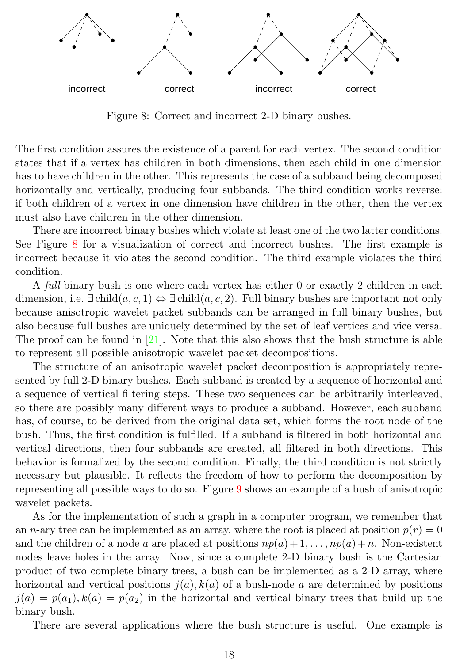

<span id="page-17-0"></span>Figure 8: Correct and incorrect 2-D binary bushes.

The first condition assures the existence of a parent for each vertex. The second condition states that if a vertex has children in both dimensions, then each child in one dimension has to have children in the other. This represents the case of a subband being decomposed horizontally and vertically, producing four subbands. The third condition works reverse: if both children of a vertex in one dimension have children in the other, then the vertex must also have children in the other dimension.

There are incorrect binary bushes which violate at least one of the two latter conditions. See Figure [8](#page-17-0) for a visualization of correct and incorrect bushes. The first example is incorrect because it violates the second condition. The third example violates the third condition.

A full binary bush is one where each vertex has either 0 or exactly 2 children in each dimension, i.e.  $\exists \text{child}(a, c, 1) \Leftrightarrow \exists \text{child}(a, c, 2)$ . Full binary bushes are important not only because anisotropic wavelet packet subbands can be arranged in full binary bushes, but also because full bushes are uniquely determined by the set of leaf vertices and vice versa. The proof can be found in  $[21]$ . Note that this also shows that the bush structure is able to represent all possible anisotropic wavelet packet decompositions.

The structure of an anisotropic wavelet packet decomposition is appropriately represented by full 2-D binary bushes. Each subband is created by a sequence of horizontal and a sequence of vertical filtering steps. These two sequences can be arbitrarily interleaved, so there are possibly many different ways to produce a subband. However, each subband has, of course, to be derived from the original data set, which forms the root node of the bush. Thus, the first condition is fulfilled. If a subband is filtered in both horizontal and vertical directions, then four subbands are created, all filtered in both directions. This behavior is formalized by the second condition. Finally, the third condition is not strictly necessary but plausible. It reflects the freedom of how to perform the decomposition by representing all possible ways to do so. Figure [9](#page-18-1) shows an example of a bush of anisotropic wavelet packets.

As for the implementation of such a graph in a computer program, we remember that an *n*-ary tree can be implemented as an array, where the root is placed at position  $p(r) = 0$ and the children of a node a are placed at positions  $np(a) + 1, \ldots, np(a) + n$ . Non-existent nodes leave holes in the array. Now, since a complete 2-D binary bush is the Cartesian product of two complete binary trees, a bush can be implemented as a 2-D array, where horizontal and vertical positions  $j(a)$ ,  $k(a)$  of a bush-node a are determined by positions  $j(a) = p(a_1), k(a) = p(a_2)$  in the horizontal and vertical binary trees that build up the binary bush.

There are several applications where the bush structure is useful. One example is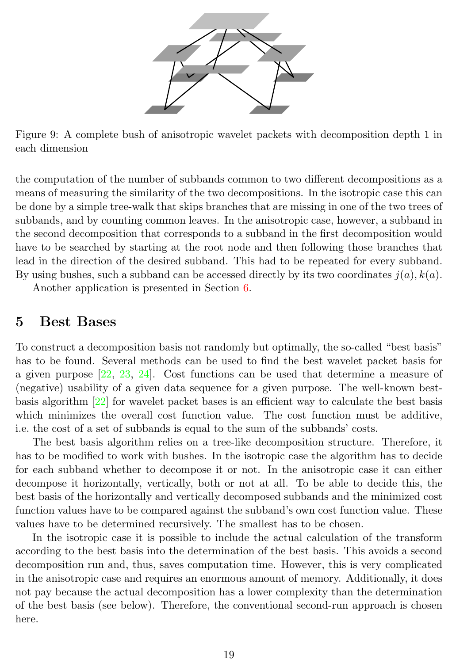

<span id="page-18-1"></span>Figure 9: A complete bush of anisotropic wavelet packets with decomposition depth 1 in each dimension

the computation of the number of subbands common to two different decompositions as a means of measuring the similarity of the two decompositions. In the isotropic case this can be done by a simple tree-walk that skips branches that are missing in one of the two trees of subbands, and by counting common leaves. In the anisotropic case, however, a subband in the second decomposition that corresponds to a subband in the first decomposition would have to be searched by starting at the root node and then following those branches that lead in the direction of the desired subband. This had to be repeated for every subband. By using bushes, such a subband can be accessed directly by its two coordinates  $j(a)$ ,  $k(a)$ .

Another application is presented in Section [6.](#page-21-0)

### <span id="page-18-0"></span>5 Best Bases

To construct a decomposition basis not randomly but optimally, the so-called "best basis" has to be found. Several methods can be used to find the best wavelet packet basis for a given purpose [\[22,](#page-27-3) [23,](#page-27-4) [24\]](#page-27-5). Cost functions can be used that determine a measure of (negative) usability of a given data sequence for a given purpose. The well-known bestbasis algorithm [\[22\]](#page-27-3) for wavelet packet bases is an efficient way to calculate the best basis which minimizes the overall cost function value. The cost function must be additive, i.e. the cost of a set of subbands is equal to the sum of the subbands' costs.

The best basis algorithm relies on a tree-like decomposition structure. Therefore, it has to be modified to work with bushes. In the isotropic case the algorithm has to decide for each subband whether to decompose it or not. In the anisotropic case it can either decompose it horizontally, vertically, both or not at all. To be able to decide this, the best basis of the horizontally and vertically decomposed subbands and the minimized cost function values have to be compared against the subband's own cost function value. These values have to be determined recursively. The smallest has to be chosen.

In the isotropic case it is possible to include the actual calculation of the transform according to the best basis into the determination of the best basis. This avoids a second decomposition run and, thus, saves computation time. However, this is very complicated in the anisotropic case and requires an enormous amount of memory. Additionally, it does not pay because the actual decomposition has a lower complexity than the determination of the best basis (see below). Therefore, the conventional second-run approach is chosen here.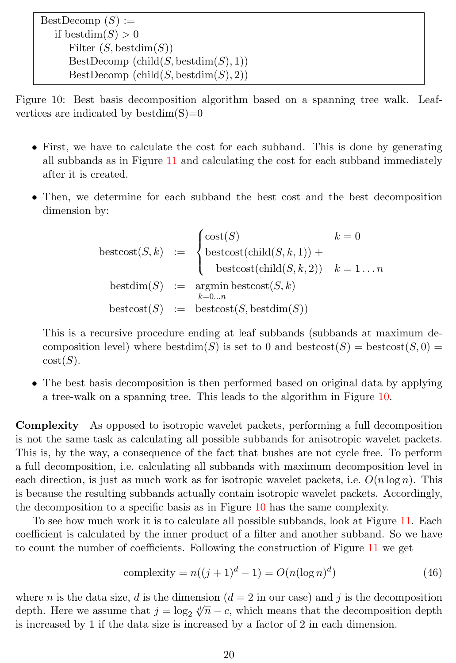$BestDecomp(S) :=$ if bestdim( $S$ ) > 0 Filter  $(S, \text{bestdim}(S))$ BestDecomp (child( $S$ , bestdim $(S)$ , 1))  $BestDecomp$  (child(S, bestdim(S), 2))

<span id="page-19-0"></span>Figure 10: Best basis decomposition algorithm based on a spanning tree walk. Leafvertices are indicated by bestdim $(S)=0$ 

- First, we have to calculate the cost for each subband. This is done by generating all subbands as in Figure [11](#page-20-0) and calculating the cost for each subband immediately after it is created.
- Then, we determine for each subband the best cost and the best decomposition dimension by:

$$
\begin{aligned}\n\text{bestcost}(S, k) &:= \begin{cases}\n\text{cost}(S) & k = 0 \\
\text{bestcost}(\text{child}(S, k, 1)) + \\
\text{bestcost}(\text{child}(S, k, 2)) & k = 1 \dots n \\
\text{bestdim}(S) &:= \text{argmin bestcost}(S, k) \\
\text{bestcost}(S) &:= \text{bestcost}(S, \text{bestdim}(S))\n\end{cases}\n\end{aligned}
$$

This is a recursive procedure ending at leaf subbands (subbands at maximum decomposition level) where bestdim(S) is set to 0 and bestcost(S) = bestcost(S, 0) =  $cost(S)$ .

• The best basis decomposition is then performed based on original data by applying a tree-walk on a spanning tree. This leads to the algorithm in Figure [10.](#page-19-0)

Complexity As opposed to isotropic wavelet packets, performing a full decomposition is not the same task as calculating all possible subbands for anisotropic wavelet packets. This is, by the way, a consequence of the fact that bushes are not cycle free. To perform a full decomposition, i.e. calculating all subbands with maximum decomposition level in each direction, is just as much work as for isotropic wavelet packets, i.e.  $O(n \log n)$ . This is because the resulting subbands actually contain isotropic wavelet packets. Accordingly, the decomposition to a specific basis as in Figure [10](#page-19-0) has the same complexity.

To see how much work it is to calculate all possible subbands, look at Figure [11.](#page-20-0) Each coefficient is calculated by the inner product of a filter and another subband. So we have to count the number of coefficients. Following the construction of Figure [11](#page-20-0) we get

complexity = 
$$
n((j + 1)^d - 1) = O(n(\log n)^d)
$$
 (46)

where n is the data size, d is the dimension  $(d = 2$  in our case) and j is the decomposition where *h* is the data size, *a* is the dimension  $(a - 2 \text{ in our case})$  and *f* is the decomposition depth depth. Here we assume that  $j = \log_2 \sqrt[d]{n} - c$ , which means that the decomposition depth is increased by 1 if the data size is increased by a factor of 2 in each dimension.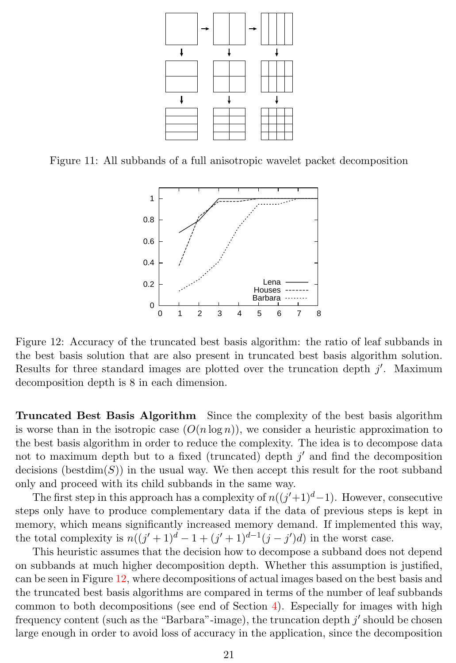

Figure 11: All subbands of a full anisotropic wavelet packet decomposition

<span id="page-20-0"></span>

<span id="page-20-1"></span>Figure 12: Accuracy of the truncated best basis algorithm: the ratio of leaf subbands in the best basis solution that are also present in truncated best basis algorithm solution. Results for three standard images are plotted over the truncation depth  $j'$ . Maximum decomposition depth is 8 in each dimension.

Truncated Best Basis Algorithm Since the complexity of the best basis algorithm is worse than in the isotropic case  $(O(n \log n))$ , we consider a heuristic approximation to the best basis algorithm in order to reduce the complexity. The idea is to decompose data not to maximum depth but to a fixed (truncated) depth  $j'$  and find the decomposition decisions (bestdim( $S$ )) in the usual way. We then accept this result for the root subband only and proceed with its child subbands in the same way.

The first step in this approach has a complexity of  $n((j'+1)^{d}-1)$ . However, consecutive steps only have to produce complementary data if the data of previous steps is kept in memory, which means significantly increased memory demand. If implemented this way, the total complexity is  $n((j'+1)^d-1+(j'+1)^{d-1}(j-j')d)$  in the worst case.

This heuristic assumes that the decision how to decompose a subband does not depend on subbands at much higher decomposition depth. Whether this assumption is justified, can be seen in Figure [12,](#page-20-1) where decompositions of actual images based on the best basis and the truncated best basis algorithms are compared in terms of the number of leaf subbands common to both decompositions (see end of Section [4\)](#page-15-0). Especially for images with high frequency content (such as the "Barbara"-image), the truncation depth  $j'$  should be chosen large enough in order to avoid loss of accuracy in the application, since the decomposition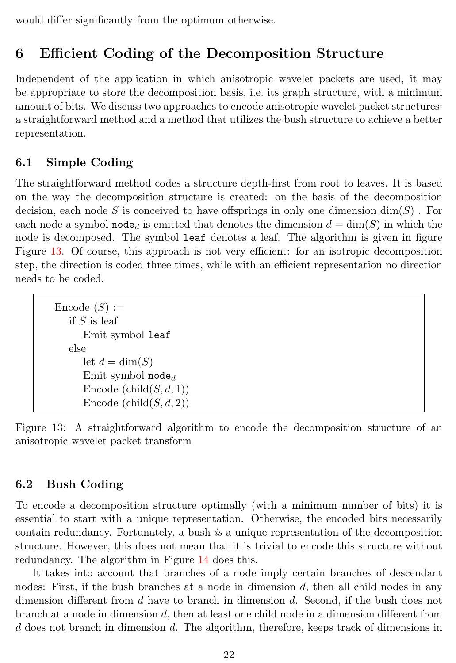would differ significantly from the optimum otherwise.

## <span id="page-21-0"></span>6 Efficient Coding of the Decomposition Structure

Independent of the application in which anisotropic wavelet packets are used, it may be appropriate to store the decomposition basis, i.e. its graph structure, with a minimum amount of bits. We discuss two approaches to encode anisotropic wavelet packet structures: a straightforward method and a method that utilizes the bush structure to achieve a better representation.

### <span id="page-21-1"></span>6.1 Simple Coding

The straightforward method codes a structure depth-first from root to leaves. It is based on the way the decomposition structure is created: on the basis of the decomposition decision, each node S is conceived to have offsprings in only one dimension  $dim(S)$ . For each node a symbol node<sub>d</sub> is emitted that denotes the dimension  $d = \dim(S)$  in which the node is decomposed. The symbol leaf denotes a leaf. The algorithm is given in figure Figure [13.](#page-21-3) Of course, this approach is not very efficient: for an isotropic decomposition step, the direction is coded three times, while with an efficient representation no direction needs to be coded.

```
Encode (S) :=if S is leaf
      Emit symbol leaf
   else
      let d = \dim(S)Emit symbol node<sub>d</sub>
      Encode (child(S, d, 1))
      Encode (child(S, d, 2))
```
<span id="page-21-3"></span>Figure 13: A straightforward algorithm to encode the decomposition structure of an anisotropic wavelet packet transform

### <span id="page-21-2"></span>6.2 Bush Coding

To encode a decomposition structure optimally (with a minimum number of bits) it is essential to start with a unique representation. Otherwise, the encoded bits necessarily contain redundancy. Fortunately, a bush is a unique representation of the decomposition structure. However, this does not mean that it is trivial to encode this structure without redundancy. The algorithm in Figure [14](#page-22-0) does this.

It takes into account that branches of a node imply certain branches of descendant nodes: First, if the bush branches at a node in dimension  $d$ , then all child nodes in any dimension different from d have to branch in dimension d. Second, if the bush does not branch at a node in dimension d, then at least one child node in a dimension different from d does not branch in dimension d. The algorithm, therefore, keeps track of dimensions in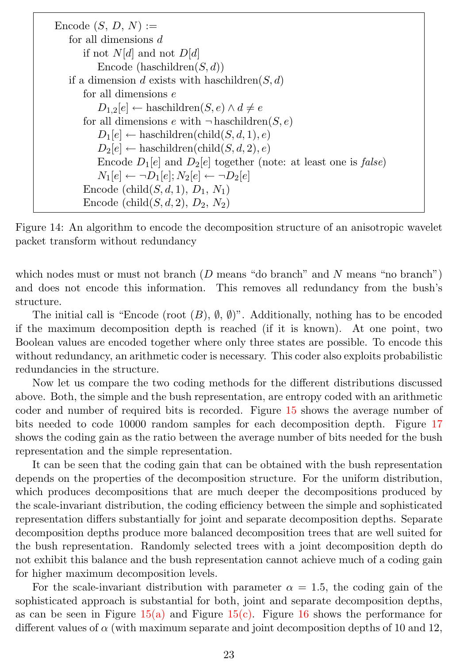Encode  $(S, D, N) :=$ for all dimensions  $d$ if not  $N[d]$  and not  $D[d]$ Encode (haschildren $(S, d)$ ) if a dimension d exists with haschildren $(S, d)$ for all dimensions e  $D_{1,2}[e] \leftarrow$  haschildren $(S, e) \wedge d \neq e$ for all dimensions  $e$  with  $\neg$  haschildren $(S, e)$  $D_1[e] \leftarrow$  haschildren(child(S, d, 1), e)  $D_2[e] \leftarrow$  haschildren(child(S, d, 2), e) Encode  $D_1[e]$  and  $D_2[e]$  together (note: at least one is *false*)  $N_1[e] \leftarrow \neg D_1[e]; N_2[e] \leftarrow \neg D_2[e]$ Encode (child $(S, d, 1), D_1, N_1$ ) Encode (child $(S, d, 2), D_2, N_2$ )

<span id="page-22-0"></span>Figure 14: An algorithm to encode the decomposition structure of an anisotropic wavelet packet transform without redundancy

which nodes must or must not branch  $(D \text{ means "do branch" and } N \text{ means "no branch" })$ and does not encode this information. This removes all redundancy from the bush's structure.

The initial call is "Encode (root  $(B)$ ,  $\emptyset$ ,  $\emptyset$ )". Additionally, nothing has to be encoded if the maximum decomposition depth is reached (if it is known). At one point, two Boolean values are encoded together where only three states are possible. To encode this without redundancy, an arithmetic coder is necessary. This coder also exploits probabilistic redundancies in the structure.

Now let us compare the two coding methods for the different distributions discussed above. Both, the simple and the bush representation, are entropy coded with an arithmetic coder and number of required bits is recorded. Figure [15](#page-23-1) shows the average number of bits needed to code 10000 random samples for each decomposition depth. Figure [17](#page-24-0) shows the coding gain as the ratio between the average number of bits needed for the bush representation and the simple representation.

It can be seen that the coding gain that can be obtained with the bush representation depends on the properties of the decomposition structure. For the uniform distribution, which produces decompositions that are much deeper the decompositions produced by the scale-invariant distribution, the coding efficiency between the simple and sophisticated representation differs substantially for joint and separate decomposition depths. Separate decomposition depths produce more balanced decomposition trees that are well suited for the bush representation. Randomly selected trees with a joint decomposition depth do not exhibit this balance and the bush representation cannot achieve much of a coding gain for higher maximum decomposition levels.

For the scale-invariant distribution with parameter  $\alpha = 1.5$ , the coding gain of the sophisticated approach is substantial for both, joint and separate decomposition depths, as can be seen in Figure  $15(a)$  and Figure  $15(c)$ . Figure [16](#page-24-1) shows the performance for different values of  $\alpha$  (with maximum separate and joint decomposition depths of 10 and 12,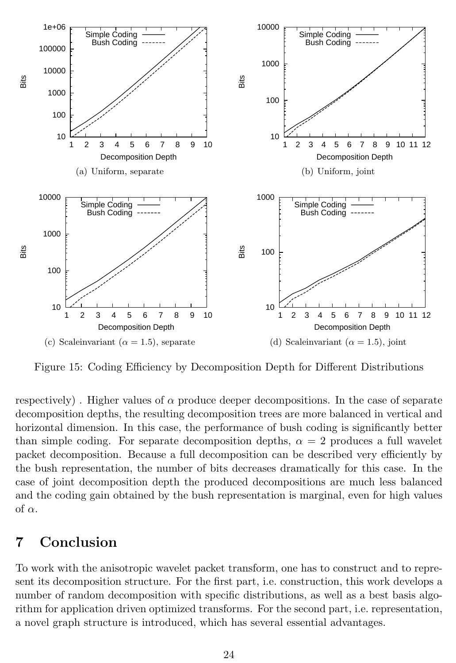<span id="page-23-3"></span><span id="page-23-2"></span>

<span id="page-23-1"></span>Figure 15: Coding Efficiency by Decomposition Depth for Different Distributions

respectively). Higher values of  $\alpha$  produce deeper decompositions. In the case of separate decomposition depths, the resulting decomposition trees are more balanced in vertical and horizontal dimension. In this case, the performance of bush coding is significantly better than simple coding. For separate decomposition depths,  $\alpha = 2$  produces a full wavelet packet decomposition. Because a full decomposition can be described very efficiently by the bush representation, the number of bits decreases dramatically for this case. In the case of joint decomposition depth the produced decompositions are much less balanced and the coding gain obtained by the bush representation is marginal, even for high values of α.

## <span id="page-23-0"></span>7 Conclusion

To work with the anisotropic wavelet packet transform, one has to construct and to represent its decomposition structure. For the first part, i.e. construction, this work develops a number of random decomposition with specific distributions, as well as a best basis algorithm for application driven optimized transforms. For the second part, i.e. representation, a novel graph structure is introduced, which has several essential advantages.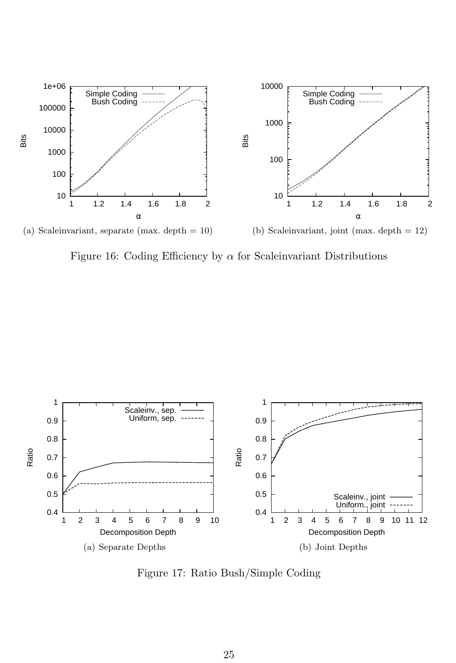

<span id="page-24-1"></span>Figure 16: Coding Efficiency by  $\alpha$  for Scaleinvariant Distributions



<span id="page-24-0"></span>Figure 17: Ratio Bush/Simple Coding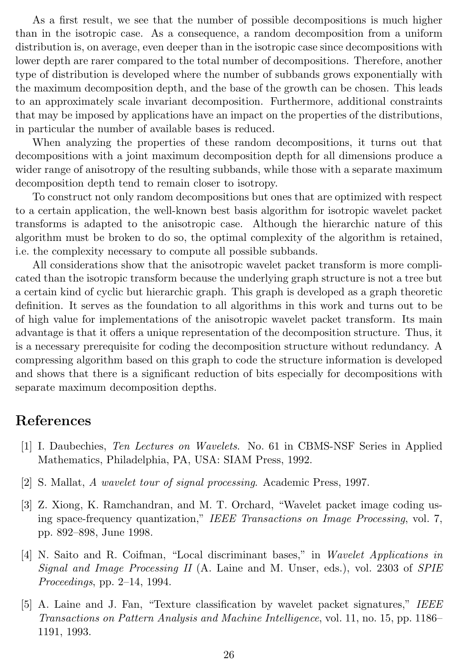As a first result, we see that the number of possible decompositions is much higher than in the isotropic case. As a consequence, a random decomposition from a uniform distribution is, on average, even deeper than in the isotropic case since decompositions with lower depth are rarer compared to the total number of decompositions. Therefore, another type of distribution is developed where the number of subbands grows exponentially with the maximum decomposition depth, and the base of the growth can be chosen. This leads to an approximately scale invariant decomposition. Furthermore, additional constraints that may be imposed by applications have an impact on the properties of the distributions, in particular the number of available bases is reduced.

When analyzing the properties of these random decompositions, it turns out that decompositions with a joint maximum decomposition depth for all dimensions produce a wider range of anisotropy of the resulting subbands, while those with a separate maximum decomposition depth tend to remain closer to isotropy.

To construct not only random decompositions but ones that are optimized with respect to a certain application, the well-known best basis algorithm for isotropic wavelet packet transforms is adapted to the anisotropic case. Although the hierarchic nature of this algorithm must be broken to do so, the optimal complexity of the algorithm is retained, i.e. the complexity necessary to compute all possible subbands.

All considerations show that the anisotropic wavelet packet transform is more complicated than the isotropic transform because the underlying graph structure is not a tree but a certain kind of cyclic but hierarchic graph. This graph is developed as a graph theoretic definition. It serves as the foundation to all algorithms in this work and turns out to be of high value for implementations of the anisotropic wavelet packet transform. Its main advantage is that it offers a unique representation of the decomposition structure. Thus, it is a necessary prerequisite for coding the decomposition structure without redundancy. A compressing algorithm based on this graph to code the structure information is developed and shows that there is a significant reduction of bits especially for decompositions with separate maximum decomposition depths.

## References

- <span id="page-25-0"></span>[1] I. Daubechies, Ten Lectures on Wavelets. No. 61 in CBMS-NSF Series in Applied Mathematics, Philadelphia, PA, USA: SIAM Press, 1992.
- <span id="page-25-1"></span>[2] S. Mallat, A wavelet tour of signal processing. Academic Press, 1997.
- <span id="page-25-2"></span>[3] Z. Xiong, K. Ramchandran, and M. T. Orchard, "Wavelet packet image coding using space-frequency quantization," IEEE Transactions on Image Processing, vol. 7, pp. 892–898, June 1998.
- <span id="page-25-3"></span>[4] N. Saito and R. Coifman, "Local discriminant bases," in Wavelet Applications in Signal and Image Processing II (A. Laine and M. Unser, eds.), vol. 2303 of SPIE Proceedings, pp. 2–14, 1994.
- <span id="page-25-4"></span>[5] A. Laine and J. Fan, "Texture classification by wavelet packet signatures," IEEE Transactions on Pattern Analysis and Machine Intelligence, vol. 11, no. 15, pp. 1186– 1191, 1993.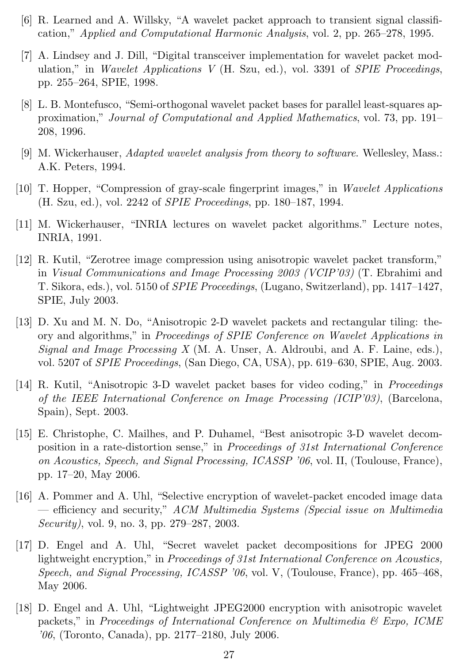- <span id="page-26-0"></span>[6] R. Learned and A. Willsky, "A wavelet packet approach to transient signal classification," Applied and Computational Harmonic Analysis, vol. 2, pp. 265–278, 1995.
- <span id="page-26-1"></span>[7] A. Lindsey and J. Dill, "Digital transceiver implementation for wavelet packet modulation," in Wavelet Applications V (H. Szu, ed.), vol. 3391 of *SPIE Proceedings*, pp. 255–264, SPIE, 1998.
- <span id="page-26-2"></span>[8] L. B. Montefusco, "Semi-orthogonal wavelet packet bases for parallel least-squares approximation," Journal of Computational and Applied Mathematics, vol. 73, pp. 191– 208, 1996.
- <span id="page-26-3"></span>[9] M. Wickerhauser, Adapted wavelet analysis from theory to software. Wellesley, Mass.: A.K. Peters, 1994.
- <span id="page-26-4"></span>[10] T. Hopper, "Compression of gray-scale fingerprint images," in Wavelet Applications (H. Szu, ed.), vol. 2242 of SPIE Proceedings, pp. 180–187, 1994.
- <span id="page-26-5"></span>[11] M. Wickerhauser, "INRIA lectures on wavelet packet algorithms." Lecture notes, INRIA, 1991.
- <span id="page-26-6"></span>[12] R. Kutil, "Zerotree image compression using anisotropic wavelet packet transform," in Visual Communications and Image Processing 2003 (VCIP'03) (T. Ebrahimi and T. Sikora, eds.), vol. 5150 of SPIE Proceedings, (Lugano, Switzerland), pp. 1417–1427, SPIE, July 2003.
- <span id="page-26-7"></span>[13] D. Xu and M. N. Do, "Anisotropic 2-D wavelet packets and rectangular tiling: theory and algorithms," in Proceedings of SPIE Conference on Wavelet Applications in Signal and Image Processing  $X$  (M. A. Unser, A. Aldroubi, and A. F. Laine, eds.), vol. 5207 of SPIE Proceedings, (San Diego, CA, USA), pp. 619–630, SPIE, Aug. 2003.
- <span id="page-26-8"></span>[14] R. Kutil, "Anisotropic 3-D wavelet packet bases for video coding," in Proceedings of the IEEE International Conference on Image Processing (ICIP'03), (Barcelona, Spain), Sept. 2003.
- <span id="page-26-9"></span>[15] E. Christophe, C. Mailhes, and P. Duhamel, "Best anisotropic 3-D wavelet decomposition in a rate-distortion sense," in Proceedings of 31st International Conference on Acoustics, Speech, and Signal Processing, ICASSP '06, vol. II, (Toulouse, France), pp. 17–20, May 2006.
- <span id="page-26-10"></span>[16] A. Pommer and A. Uhl, "Selective encryption of wavelet-packet encoded image data — efficiency and security," ACM Multimedia Systems (Special issue on Multimedia Security), vol. 9, no. 3, pp. 279–287, 2003.
- <span id="page-26-11"></span>[17] D. Engel and A. Uhl, "Secret wavelet packet decompositions for JPEG 2000 lightweight encryption," in Proceedings of 31st International Conference on Acoustics, Speech, and Signal Processing, ICASSP '06, vol. V, (Toulouse, France), pp. 465–468, May 2006.
- <span id="page-26-12"></span>[18] D. Engel and A. Uhl, "Lightweight JPEG2000 encryption with anisotropic wavelet packets," in Proceedings of International Conference on Multimedia  $\mathcal{C}$  Expo, ICME '06, (Toronto, Canada), pp. 2177–2180, July 2006.